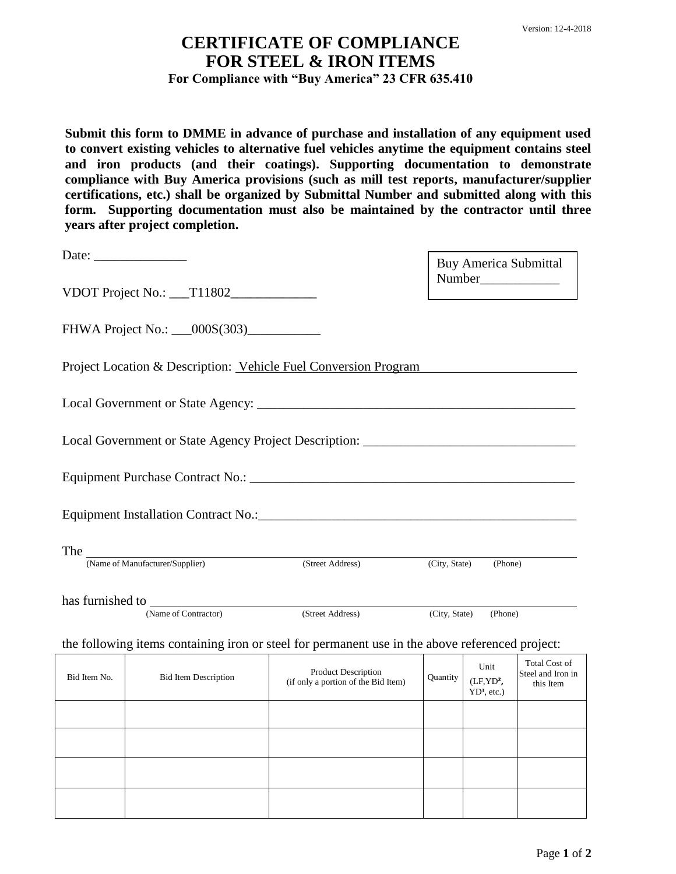## **CERTIFICATE OF COMPLIANCE FOR STEEL & IRON ITEMS For Compliance with "Buy America" 23 CFR 635.410**

**Submit this form to DMME in advance of purchase and installation of any equipment used to convert existing vehicles to alternative fuel vehicles anytime the equipment contains steel and iron products (and their coatings). Supporting documentation to demonstrate compliance with Buy America provisions (such as mill test reports, manufacturer/supplier certifications, etc.) shall be organized by Submittal Number and submitted along with this form. Supporting documentation must also be maintained by the contractor until three years after project completion.** 

| Date: $\frac{1}{\sqrt{1-\frac{1}{2}}\cdot\frac{1}{2}}$               |                                         |                                                                                                 |                          | <b>Buy America Submittal</b>                    |                                                        |
|----------------------------------------------------------------------|-----------------------------------------|-------------------------------------------------------------------------------------------------|--------------------------|-------------------------------------------------|--------------------------------------------------------|
|                                                                      | VDOT Project No.: __T11802_____________ |                                                                                                 |                          |                                                 |                                                        |
|                                                                      |                                         |                                                                                                 |                          |                                                 |                                                        |
|                                                                      |                                         | Project Location & Description: Vehicle Fuel Conversion Program                                 |                          |                                                 |                                                        |
|                                                                      |                                         |                                                                                                 |                          |                                                 |                                                        |
|                                                                      |                                         | Local Government or State Agency Project Description: ___________________________               |                          |                                                 |                                                        |
|                                                                      |                                         |                                                                                                 |                          |                                                 |                                                        |
|                                                                      |                                         |                                                                                                 |                          |                                                 |                                                        |
|                                                                      |                                         |                                                                                                 |                          |                                                 |                                                        |
| The Wame of Manufacturer/Supplier)                                   |                                         | (Street Address)                                                                                | (City, State)<br>(Phone) |                                                 |                                                        |
|                                                                      |                                         |                                                                                                 |                          |                                                 |                                                        |
| (Name of Contractor)<br>(Street Address)<br>(City, State)<br>(Phone) |                                         |                                                                                                 |                          |                                                 |                                                        |
|                                                                      |                                         | the following items containing iron or steel for permanent use in the above referenced project: |                          |                                                 |                                                        |
| Bid Item No.                                                         | <b>Bid Item Description</b>             | <b>Product Description</b><br>(if only a portion of the Bid Item)                               | Quantity                 | Unit<br>(LF, YD <sup>2</sup> )<br>$YD3$ , etc.) | <b>Total Cost of</b><br>Steel and Iron in<br>this Item |
|                                                                      |                                         |                                                                                                 |                          |                                                 |                                                        |
|                                                                      |                                         |                                                                                                 |                          |                                                 |                                                        |
|                                                                      |                                         |                                                                                                 |                          |                                                 |                                                        |